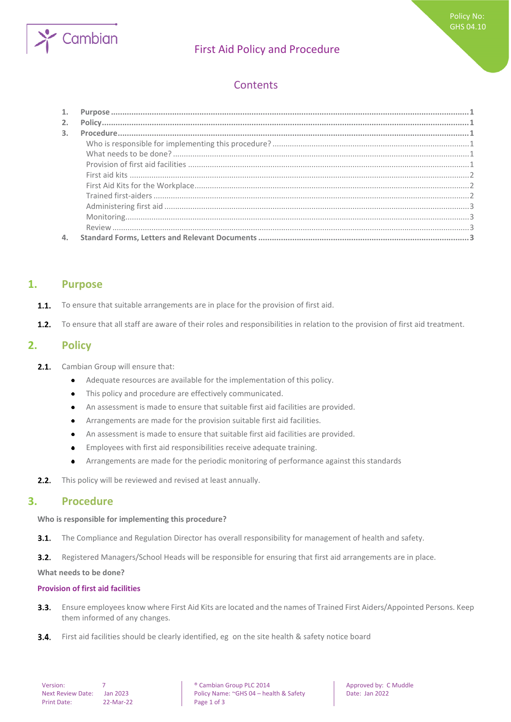

# First Aid Policy and Procedure

# **Contents**

| 2.             |  |
|----------------|--|
| $\mathbf{3}$ . |  |
|                |  |
|                |  |
|                |  |
|                |  |
|                |  |
|                |  |
|                |  |
|                |  |
|                |  |
|                |  |

## <span id="page-0-0"></span>**1. Purpose**

- To ensure that suitable arrangements are in place for the provision of first aid.  $1.1.$
- <span id="page-0-1"></span> $1.2.$ To ensure that all staff are aware of their roles and responsibilities in relation to the provision of first aid treatment.

## **2. Policy**

- $2.1.$ Cambian Group will ensure that:
	- Adequate resources are available for the implementation of this policy.  $\bullet$
	- This policy and procedure are effectively communicated.  $\bullet$
	- An assessment is made to ensure that suitable first aid facilities are provided.  $\bullet$
	- Arrangements are made for the provision suitable first aid facilities.  $\bullet$
	- An assessment is made to ensure that suitable first aid facilities are provided.  $\bullet$
	- Employees with first aid responsibilities receive adequate training.  $\bullet$
	- Arrangements are made for the periodic monitoring of performance against this standards  $\bullet$
- <span id="page-0-2"></span>This policy will be reviewed and revised at least annually.  $2.2.$

## **3. Procedure**

#### <span id="page-0-3"></span>**Who is responsible for implementing this procedure?**

 $3.1.$ The Compliance and Regulation Director has overall responsibility for management of health and safety.

 $3.2.$ Registered Managers/School Heads will be responsible for ensuring that first aid arrangements are in place.

<span id="page-0-4"></span>**What needs to be done?**

#### <span id="page-0-5"></span>**Provision of first aid facilities**

- Ensure employees know where First Aid Kits are located and the names of Trained First Aiders/Appointed Persons. Keep  $3.3.$ them informed of any changes.
- $3.4.$ First aid facilities should be clearly identified, eg on the site health & safety notice board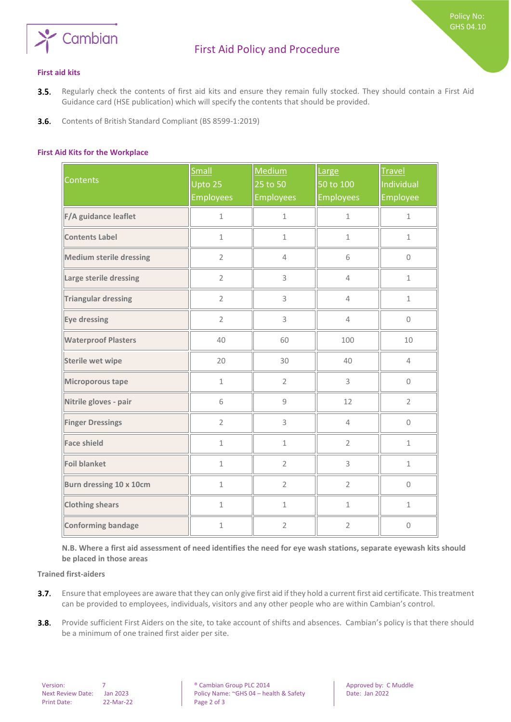

Policy No: GHS 04.10

- <span id="page-1-0"></span>Regularly check the contents of first aid kits and ensure they remain fully stocked. They should contain a First Aid  $3.5.$ Guidance card (HSE publication) which will specify the contents that should be provided.
- <span id="page-1-1"></span> $3.6.$ Contents of British Standard Compliant (BS 8599-1:2019)

#### **First Aid Kits for the Workplace**

| <b>Contents</b>                | Small<br>Upto 25<br><b>Employees</b> | Medium<br>25 to 50<br><b>Employees</b> | Large<br>50 to 100<br><b>Employees</b> | <b>Travel</b><br>Individual<br>Employee |
|--------------------------------|--------------------------------------|----------------------------------------|----------------------------------------|-----------------------------------------|
| F/A guidance leaflet           | $\mathbf 1$                          | $\mathbf 1$                            | $1\,$                                  | $\mathbf 1$                             |
| <b>Contents Label</b>          | $\mathbf 1$                          | $\mathbf 1$                            | $\mathbf 1$                            | $\mathbf 1$                             |
| <b>Medium sterile dressing</b> | $\overline{2}$                       | $\overline{4}$                         | 6                                      | $\mathbf 0$                             |
| Large sterile dressing         | $\overline{2}$                       | 3                                      | $\overline{4}$                         | $\mathbf{1}$                            |
| <b>Triangular dressing</b>     | $\overline{2}$                       | 3                                      | $\overline{4}$                         | $\mathbf 1$                             |
| Eye dressing                   | $\overline{2}$                       | 3                                      | $\overline{4}$                         | $\mathsf{O}\xspace$                     |
| <b>Waterproof Plasters</b>     | 40                                   | 60                                     | 100                                    | 10                                      |
| <b>Sterile wet wipe</b>        | 20                                   | 30                                     | 40                                     | $\overline{4}$                          |
| Microporous tape               | $\mathbf{1}$                         | $\overline{2}$                         | 3                                      | $\mathbf 0$                             |
| Nitrile gloves - pair          | 6                                    | 9                                      | 12                                     | $\overline{2}$                          |
| <b>Finger Dressings</b>        | $\overline{2}$                       | 3                                      | $\overline{4}$                         | $\mathsf{O}\xspace$                     |
| <b>Face shield</b>             | $\mathbf{1}$                         | $1\,$                                  | $\overline{2}$                         | $\mathbf{1}$                            |
| <b>Foil blanket</b>            | $\mathbf{1}$                         | $\overline{2}$                         | 3                                      | $\mathbf{1}$                            |
| Burn dressing 10 x 10cm        | $\mathbf{1}$                         | $\overline{2}$                         | $\overline{2}$                         | 0                                       |
| <b>Clothing shears</b>         | $1\,$                                | $\mathbf{1}$                           | $\mathbf{1}$                           | $1\,$                                   |
| <b>Conforming bandage</b>      | $\mathbf 1$                          | $\overline{2}$                         | $\overline{2}$                         | $\mathbf 0$                             |

<span id="page-1-2"></span>**N.B. Where a first aid assessment of need identifies the need for eye wash stations, separate eyewash kits should be placed in those areas** 

**Trained first-aiders**

- Ensure that employees are aware that they can only give first aid if they hold a current first aid certificate. This treatment  $3.7.$ can be provided to employees, individuals, visitors and any other people who are within Cambian's control.
- $3.8.$ Provide sufficient First Aiders on the site, to take account of shifts and absences. Cambian's policy is that there should be a minimum of one trained first aider per site.